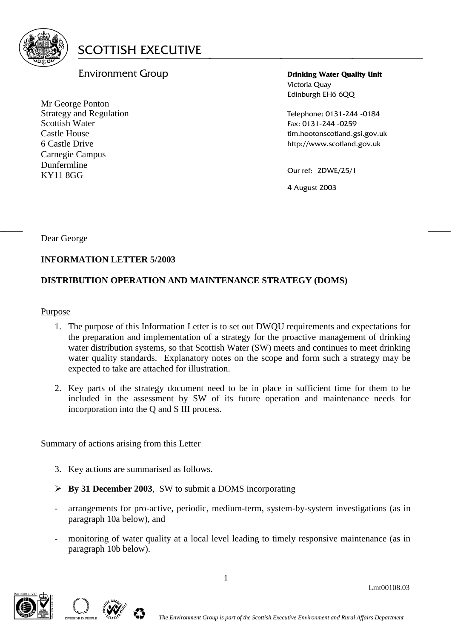

# Environment Group

Mr George Ponton Strategy and Regulation Scottish Water Castle House 6 Castle Drive Carnegie Campus Dunfermline KY11 8GG

**Drinking Water Quality Unit** Victoria Quay Edinburgh EH6 6QQ

Telephone: 0131-244 -0184 Fax: 0131-244 -0259 tim.hootonscotland.gsi.gov.uk http://www.scotland.gov.uk

Our ref: 2DWE/25/1

4 August 2003

Dear George

# **INFORMATION LETTER 5/2003**

# **DISTRIBUTION OPERATION AND MAINTENANCE STRATEGY (DOMS)**

Purpose

1. The purpose of this Information Letter is to set out DWQU requirements and expectations for the preparation and implementation of a strategy for the proactive management of drinking water distribution systems, so that Scottish Water (SW) meets and continues to meet drinking water quality standards. Explanatory notes on the scope and form such a strategy may be expected to take are attached for illustration.

 $\frac{1}{2}$  , the contribution of the contribution of the contribution of the contribution of the contribution of the contribution of the contribution of the contribution of the contribution of the contribution of the contr

2. Key parts of the strategy document need to be in place in sufficient time for them to be included in the assessment by SW of its future operation and maintenance needs for incorporation into the Q and S III process.

Summary of actions arising from this Letter

- 3. Key actions are summarised as follows.
- **By 31 December 2003**, SW to submit a DOMS incorporating
- arrangements for pro-active, periodic, medium-term, system-by-system investigations (as in paragraph 10a below), and
- monitoring of water quality at a local level leading to timely responsive maintenance (as in paragraph 10b below).



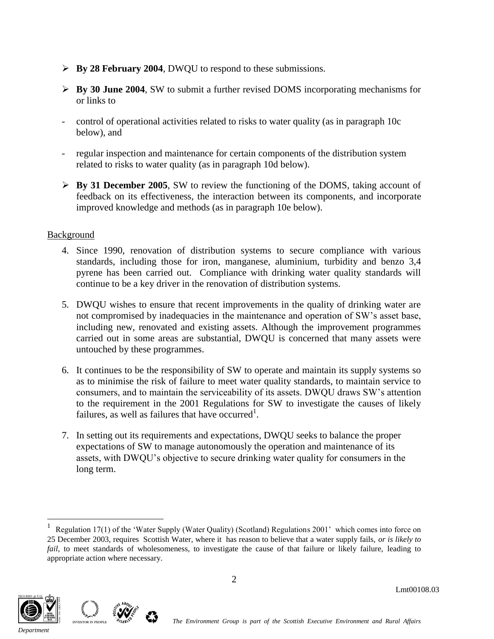- **By 28 February 2004**, DWQU to respond to these submissions.
- **By 30 June 2004**, SW to submit a further revised DOMS incorporating mechanisms for or links to
- control of operational activities related to risks to water quality (as in paragraph 10c below), and
- regular inspection and maintenance for certain components of the distribution system related to risks to water quality (as in paragraph 10d below).
- **By 31 December 2005**, SW to review the functioning of the DOMS, taking account of feedback on its effectiveness, the interaction between its components, and incorporate improved knowledge and methods (as in paragraph 10e below).

# **Background**

- 4. Since 1990, renovation of distribution systems to secure compliance with various standards, including those for iron, manganese, aluminium, turbidity and benzo 3,4 pyrene has been carried out. Compliance with drinking water quality standards will continue to be a key driver in the renovation of distribution systems.
- 5. DWQU wishes to ensure that recent improvements in the quality of drinking water are not compromised by inadequacies in the maintenance and operation of SW's asset base, including new, renovated and existing assets. Although the improvement programmes carried out in some areas are substantial, DWQU is concerned that many assets were untouched by these programmes.
- 6. It continues to be the responsibility of SW to operate and maintain its supply systems so as to minimise the risk of failure to meet water quality standards, to maintain service to consumers, and to maintain the serviceability of its assets. DWQU draws SW's attention to the requirement in the 2001 Regulations for SW to investigate the causes of likely failures, as well as failures that have occurred<sup>1</sup>.
- 7. In setting out its requirements and expectations, DWQU seeks to balance the proper expectations of SW to manage autonomously the operation and maintenance of its assets, with DWQU's objective to secure drinking water quality for consumers in the long term.

<sup>1</sup> Regulation 17(1) of the 'Water Supply (Water Quality) (Scotland) Regulations 2001' which comes into force on 25 December 2003, requires Scottish Water, where it has reason to believe that a water supply fails, *or is likely to fail*, to meet standards of wholesomeness, to investigate the cause of that failure or likely failure, leading to appropriate action where necessary.



 $\overline{a}$ 

*Department*

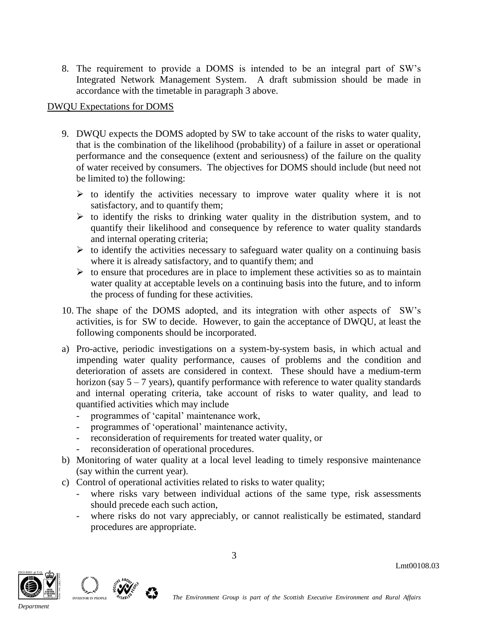8. The requirement to provide a DOMS is intended to be an integral part of SW's Integrated Network Management System. A draft submission should be made in accordance with the timetable in paragraph 3 above.

#### DWQU Expectations for DOMS

- 9. DWQU expects the DOMS adopted by SW to take account of the risks to water quality, that is the combination of the likelihood (probability) of a failure in asset or operational performance and the consequence (extent and seriousness) of the failure on the quality of water received by consumers. The objectives for DOMS should include (but need not be limited to) the following:
	- $\triangleright$  to identify the activities necessary to improve water quality where it is not satisfactory, and to quantify them;
	- $\triangleright$  to identify the risks to drinking water quality in the distribution system, and to quantify their likelihood and consequence by reference to water quality standards and internal operating criteria;
	- $\triangleright$  to identify the activities necessary to safeguard water quality on a continuing basis where it is already satisfactory, and to quantify them; and
	- $\triangleright$  to ensure that procedures are in place to implement these activities so as to maintain water quality at acceptable levels on a continuing basis into the future, and to inform the process of funding for these activities.
- 10. The shape of the DOMS adopted, and its integration with other aspects of SW's activities, is for SW to decide. However, to gain the acceptance of DWQU, at least the following components should be incorporated.
- a) Pro-active, periodic investigations on a system-by-system basis, in which actual and impending water quality performance, causes of problems and the condition and deterioration of assets are considered in context. These should have a medium-term horizon (say  $5 - 7$  years), quantify performance with reference to water quality standards and internal operating criteria, take account of risks to water quality, and lead to quantified activities which may include
	- programmes of 'capital' maintenance work,
	- programmes of 'operational' maintenance activity,
	- reconsideration of requirements for treated water quality, or
	- reconsideration of operational procedures.
- b) Monitoring of water quality at a local level leading to timely responsive maintenance (say within the current year).
- c) Control of operational activities related to risks to water quality;
	- where risks vary between individual actions of the same type, risk assessments should precede each such action,
	- where risks do not vary appreciably, or cannot realistically be estimated, standard procedures are appropriate.



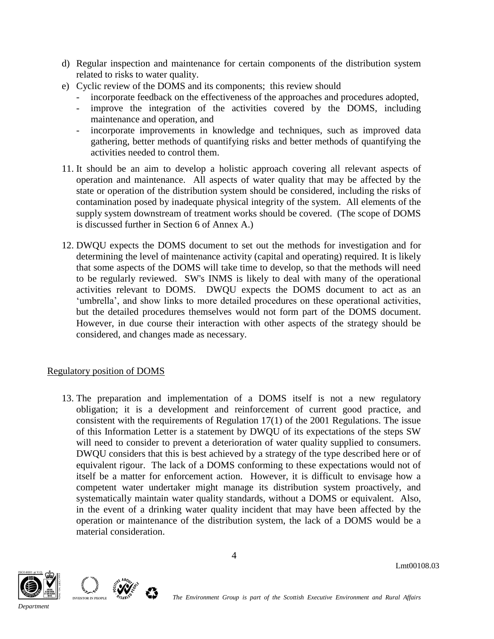- d) Regular inspection and maintenance for certain components of the distribution system related to risks to water quality.
- e) Cyclic review of the DOMS and its components; this review should
	- incorporate feedback on the effectiveness of the approaches and procedures adopted,
	- improve the integration of the activities covered by the DOMS, including maintenance and operation, and
	- incorporate improvements in knowledge and techniques, such as improved data gathering, better methods of quantifying risks and better methods of quantifying the activities needed to control them.
- 11. It should be an aim to develop a holistic approach covering all relevant aspects of operation and maintenance. All aspects of water quality that may be affected by the state or operation of the distribution system should be considered, including the risks of contamination posed by inadequate physical integrity of the system. All elements of the supply system downstream of treatment works should be covered. (The scope of DOMS is discussed further in Section 6 of Annex A.)
- 12. DWQU expects the DOMS document to set out the methods for investigation and for determining the level of maintenance activity (capital and operating) required. It is likely that some aspects of the DOMS will take time to develop, so that the methods will need to be regularly reviewed. SW's INMS is likely to deal with many of the operational activities relevant to DOMS. DWQU expects the DOMS document to act as an 'umbrella', and show links to more detailed procedures on these operational activities, but the detailed procedures themselves would not form part of the DOMS document. However, in due course their interaction with other aspects of the strategy should be considered, and changes made as necessary.

#### Regulatory position of DOMS

13. The preparation and implementation of a DOMS itself is not a new regulatory obligation; it is a development and reinforcement of current good practice, and consistent with the requirements of Regulation 17(1) of the 2001 Regulations. The issue of this Information Letter is a statement by DWQU of its expectations of the steps SW will need to consider to prevent a deterioration of water quality supplied to consumers. DWQU considers that this is best achieved by a strategy of the type described here or of equivalent rigour. The lack of a DOMS conforming to these expectations would not of itself be a matter for enforcement action. However, it is difficult to envisage how a competent water undertaker might manage its distribution system proactively, and systematically maintain water quality standards, without a DOMS or equivalent. Also, in the event of a drinking water quality incident that may have been affected by the operation or maintenance of the distribution system, the lack of a DOMS would be a material consideration.



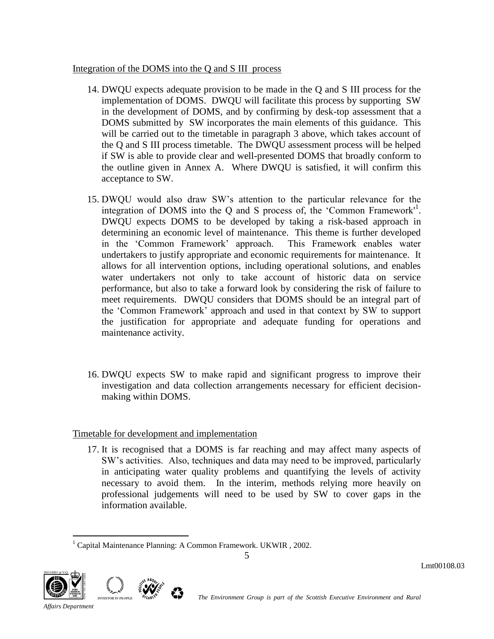#### Integration of the DOMS into the Q and S III process

- 14. DWQU expects adequate provision to be made in the Q and S III process for the implementation of DOMS. DWQU will facilitate this process by supporting SW in the development of DOMS, and by confirming by desk-top assessment that a DOMS submitted by SW incorporates the main elements of this guidance. This will be carried out to the timetable in paragraph 3 above, which takes account of the Q and S III process timetable. The DWQU assessment process will be helped if SW is able to provide clear and well-presented DOMS that broadly conform to the outline given in Annex A. Where DWQU is satisfied, it will confirm this acceptance to SW.
- 15. DWQU would also draw SW's attention to the particular relevance for the integration of DOMS into the Q and S process of, the 'Common Framework'<sup>1</sup>. DWQU expects DOMS to be developed by taking a risk-based approach in determining an economic level of maintenance. This theme is further developed in the 'Common Framework' approach. This Framework enables water undertakers to justify appropriate and economic requirements for maintenance. It allows for all intervention options, including operational solutions, and enables water undertakers not only to take account of historic data on service performance, but also to take a forward look by considering the risk of failure to meet requirements. DWQU considers that DOMS should be an integral part of the 'Common Framework' approach and used in that context by SW to support the justification for appropriate and adequate funding for operations and maintenance activity.
- 16. DWQU expects SW to make rapid and significant progress to improve their investigation and data collection arrangements necessary for efficient decisionmaking within DOMS.

# Timetable for development and implementation

17. It is recognised that a DOMS is far reaching and may affect many aspects of SW's activities. Also, techniques and data may need to be improved, particularly in anticipating water quality problems and quantifying the levels of activity necessary to avoid them. In the interim, methods relying more heavily on professional judgements will need to be used by SW to cover gaps in the information available.



 $\overline{a}$  $1$  Capital Maintenance Planning: A Common Framework. UKWIR, 2002.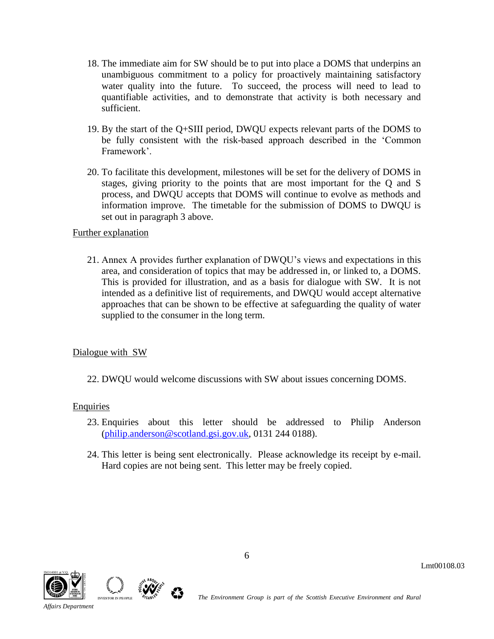- 18. The immediate aim for SW should be to put into place a DOMS that underpins an unambiguous commitment to a policy for proactively maintaining satisfactory water quality into the future. To succeed, the process will need to lead to quantifiable activities, and to demonstrate that activity is both necessary and sufficient.
- 19. By the start of the Q+SIII period, DWQU expects relevant parts of the DOMS to be fully consistent with the risk-based approach described in the 'Common Framework'.
- 20. To facilitate this development, milestones will be set for the delivery of DOMS in stages, giving priority to the points that are most important for the Q and S process, and DWQU accepts that DOMS will continue to evolve as methods and information improve. The timetable for the submission of DOMS to DWQU is set out in paragraph 3 above.

# Further explanation

21. Annex A provides further explanation of DWQU's views and expectations in this area, and consideration of topics that may be addressed in, or linked to, a DOMS. This is provided for illustration, and as a basis for dialogue with SW. It is not intended as a definitive list of requirements, and DWQU would accept alternative approaches that can be shown to be effective at safeguarding the quality of water supplied to the consumer in the long term.

# Dialogue with SW

22. DWQU would welcome discussions with SW about issues concerning DOMS.

# **Enquiries**

- 23. Enquiries about this letter should be addressed to Philip Anderson [\(philip.anderson@scotland.gsi.gov.uk,](mailto:philip.anderson@scotland.gsi.gov.uk) 0131 244 0188).
- 24. This letter is being sent electronically. Please acknowledge its receipt by e-mail. Hard copies are not being sent. This letter may be freely copied.





*Affairs Department*

<sup>S</sup><br><sup>The Environment Group is part of the Scottish Executive Environment and Rural *The Environment and Rural*</sup>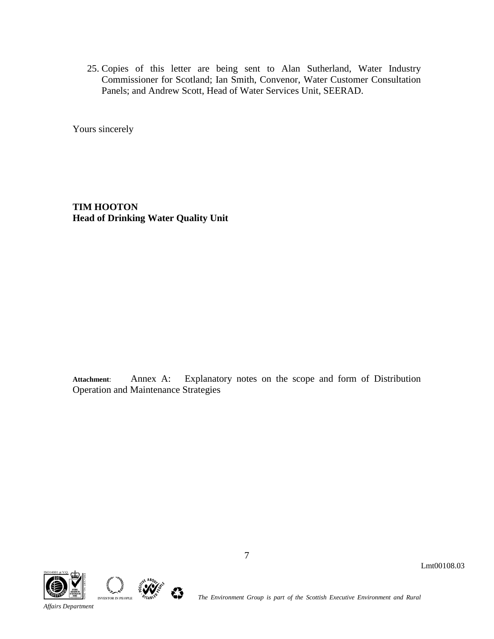25. Copies of this letter are being sent to Alan Sutherland, Water Industry Commissioner for Scotland; Ian Smith, Convenor, Water Customer Consultation Panels; and Andrew Scott, Head of Water Services Unit, SEERAD.

Yours sincerely

**TIM HOOTON Head of Drinking Water Quality Unit** 

**Attachment**: Annex A: Explanatory notes on the scope and form of Distribution Operation and Maintenance Strategies





*Affairs Department*

**The Environment Group is part of the Scottish Executive Environment and Rural** *The Environment Group* **is part of the Scottish Executive Environment and Rural** 

7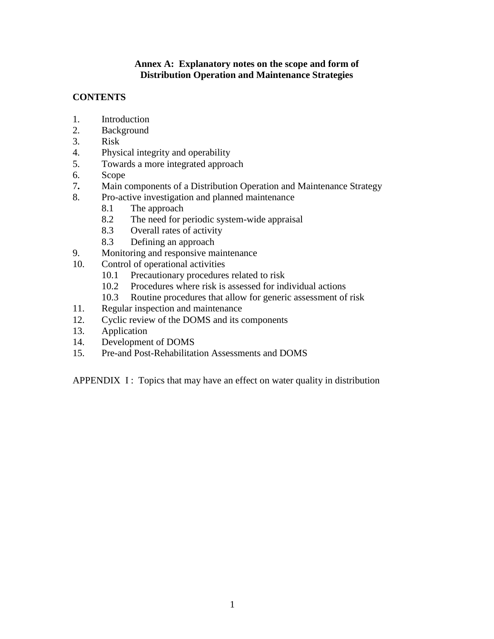#### **Annex A: Explanatory notes on the scope and form of Distribution Operation and Maintenance Strategies**

# **CONTENTS**

- 1. Introduction
- 2. Background
- 3. Risk
- 4. Physical integrity and operability
- 5. Towards a more integrated approach
- 6. Scope
- 7**.** Main components of a Distribution Operation and Maintenance Strategy
- 8. Pro-active investigation and planned maintenance
	- 8.1 The approach
	- 8.2 The need for periodic system-wide appraisal
	- 8.3 Overall rates of activity
	- 8.3 Defining an approach
- 9. Monitoring and responsive maintenance
- 10. Control of operational activities
	- 10.1 Precautionary procedures related to risk
	- 10.2 Procedures where risk is assessed for individual actions
	- 10.3 Routine procedures that allow for generic assessment of risk
- 11. Regular inspection and maintenance
- 12. Cyclic review of the DOMS and its components
- 13. Application
- 14. Development of DOMS
- 15. Pre-and Post-Rehabilitation Assessments and DOMS

APPENDIX I: Topics that may have an effect on water quality in distribution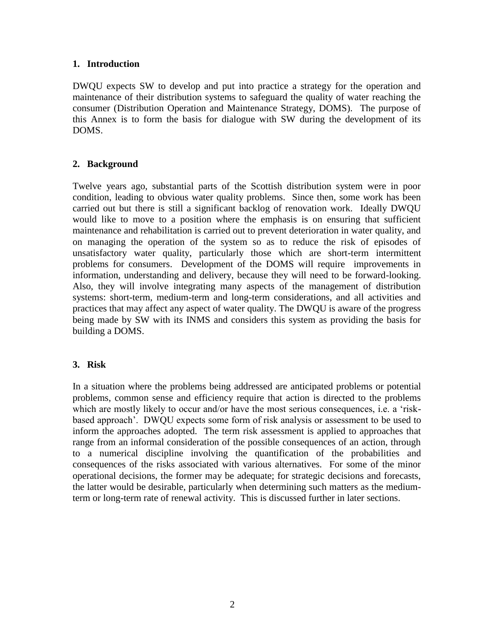#### **1. Introduction**

DWQU expects SW to develop and put into practice a strategy for the operation and maintenance of their distribution systems to safeguard the quality of water reaching the consumer (Distribution Operation and Maintenance Strategy, DOMS). The purpose of this Annex is to form the basis for dialogue with SW during the development of its DOMS.

### **2. Background**

Twelve years ago, substantial parts of the Scottish distribution system were in poor condition, leading to obvious water quality problems. Since then, some work has been carried out but there is still a significant backlog of renovation work. Ideally DWQU would like to move to a position where the emphasis is on ensuring that sufficient maintenance and rehabilitation is carried out to prevent deterioration in water quality, and on managing the operation of the system so as to reduce the risk of episodes of unsatisfactory water quality, particularly those which are short-term intermittent problems for consumers. Development of the DOMS will require improvements in information, understanding and delivery, because they will need to be forward-looking. Also, they will involve integrating many aspects of the management of distribution systems: short-term, medium-term and long-term considerations, and all activities and practices that may affect any aspect of water quality. The DWQU is aware of the progress being made by SW with its INMS and considers this system as providing the basis for building a DOMS.

# **3. Risk**

In a situation where the problems being addressed are anticipated problems or potential problems, common sense and efficiency require that action is directed to the problems which are mostly likely to occur and/or have the most serious consequences, i.e. a 'riskbased approach'. DWQU expects some form of risk analysis or assessment to be used to inform the approaches adopted. The term risk assessment is applied to approaches that range from an informal consideration of the possible consequences of an action, through to a numerical discipline involving the quantification of the probabilities and consequences of the risks associated with various alternatives. For some of the minor operational decisions, the former may be adequate; for strategic decisions and forecasts, the latter would be desirable, particularly when determining such matters as the mediumterm or long-term rate of renewal activity. This is discussed further in later sections.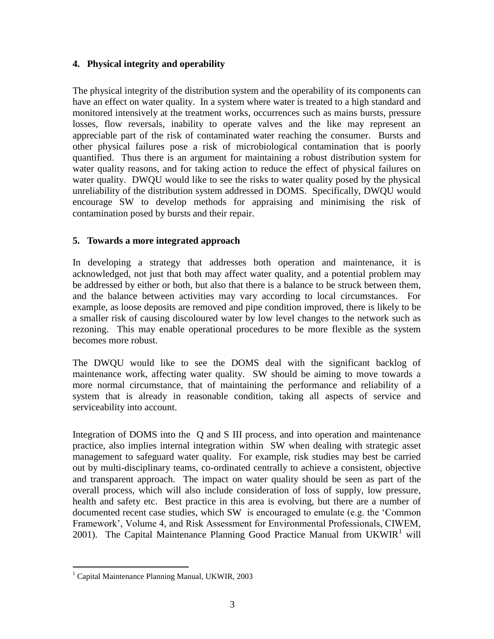# **4. Physical integrity and operability**

The physical integrity of the distribution system and the operability of its components can have an effect on water quality. In a system where water is treated to a high standard and monitored intensively at the treatment works, occurrences such as mains bursts, pressure losses, flow reversals, inability to operate valves and the like may represent an appreciable part of the risk of contaminated water reaching the consumer. Bursts and other physical failures pose a risk of microbiological contamination that is poorly quantified. Thus there is an argument for maintaining a robust distribution system for water quality reasons, and for taking action to reduce the effect of physical failures on water quality. DWQU would like to see the risks to water quality posed by the physical unreliability of the distribution system addressed in DOMS. Specifically, DWQU would encourage SW to develop methods for appraising and minimising the risk of contamination posed by bursts and their repair.

#### **5. Towards a more integrated approach**

In developing a strategy that addresses both operation and maintenance, it is acknowledged, not just that both may affect water quality, and a potential problem may be addressed by either or both, but also that there is a balance to be struck between them, and the balance between activities may vary according to local circumstances. For example, as loose deposits are removed and pipe condition improved, there is likely to be a smaller risk of causing discoloured water by low level changes to the network such as rezoning. This may enable operational procedures to be more flexible as the system becomes more robust.

The DWQU would like to see the DOMS deal with the significant backlog of maintenance work, affecting water quality. SW should be aiming to move towards a more normal circumstance, that of maintaining the performance and reliability of a system that is already in reasonable condition, taking all aspects of service and serviceability into account.

Integration of DOMS into the Q and S III process, and into operation and maintenance practice, also implies internal integration within SW when dealing with strategic asset management to safeguard water quality. For example, risk studies may best be carried out by multi-disciplinary teams, co-ordinated centrally to achieve a consistent, objective and transparent approach. The impact on water quality should be seen as part of the overall process, which will also include consideration of loss of supply, low pressure, health and safety etc. Best practice in this area is evolving, but there are a number of documented recent case studies, which SW is encouraged to emulate (e.g. the 'Common Framework', Volume 4, and Risk Assessment for Environmental Professionals, CIWEM, 2001). The Capital Maintenance Planning Good Practice Manual from  $UKWIR<sup>1</sup>$  will

 $\overline{a}$ 

<sup>&</sup>lt;sup>1</sup> Capital Maintenance Planning Manual, UKWIR, 2003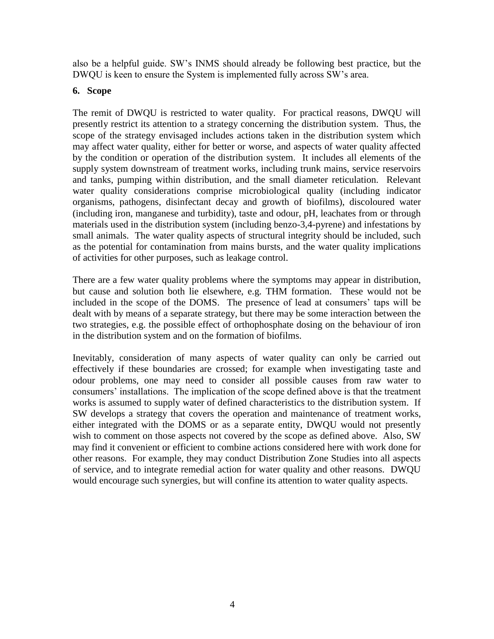also be a helpful guide. SW's INMS should already be following best practice, but the DWQU is keen to ensure the System is implemented fully across SW's area.

## **6. Scope**

The remit of DWQU is restricted to water quality. For practical reasons, DWQU will presently restrict its attention to a strategy concerning the distribution system. Thus, the scope of the strategy envisaged includes actions taken in the distribution system which may affect water quality, either for better or worse, and aspects of water quality affected by the condition or operation of the distribution system. It includes all elements of the supply system downstream of treatment works, including trunk mains, service reservoirs and tanks, pumping within distribution, and the small diameter reticulation. Relevant water quality considerations comprise microbiological quality (including indicator organisms, pathogens, disinfectant decay and growth of biofilms), discoloured water (including iron, manganese and turbidity), taste and odour, pH, leachates from or through materials used in the distribution system (including benzo-3,4-pyrene) and infestations by small animals. The water quality aspects of structural integrity should be included, such as the potential for contamination from mains bursts, and the water quality implications of activities for other purposes, such as leakage control.

There are a few water quality problems where the symptoms may appear in distribution, but cause and solution both lie elsewhere, e.g. THM formation. These would not be included in the scope of the DOMS. The presence of lead at consumers' taps will be dealt with by means of a separate strategy, but there may be some interaction between the two strategies, e.g. the possible effect of orthophosphate dosing on the behaviour of iron in the distribution system and on the formation of biofilms.

Inevitably, consideration of many aspects of water quality can only be carried out effectively if these boundaries are crossed; for example when investigating taste and odour problems, one may need to consider all possible causes from raw water to consumers' installations. The implication of the scope defined above is that the treatment works is assumed to supply water of defined characteristics to the distribution system. If SW develops a strategy that covers the operation and maintenance of treatment works, either integrated with the DOMS or as a separate entity, DWQU would not presently wish to comment on those aspects not covered by the scope as defined above. Also, SW may find it convenient or efficient to combine actions considered here with work done for other reasons. For example, they may conduct Distribution Zone Studies into all aspects of service, and to integrate remedial action for water quality and other reasons. DWQU would encourage such synergies, but will confine its attention to water quality aspects.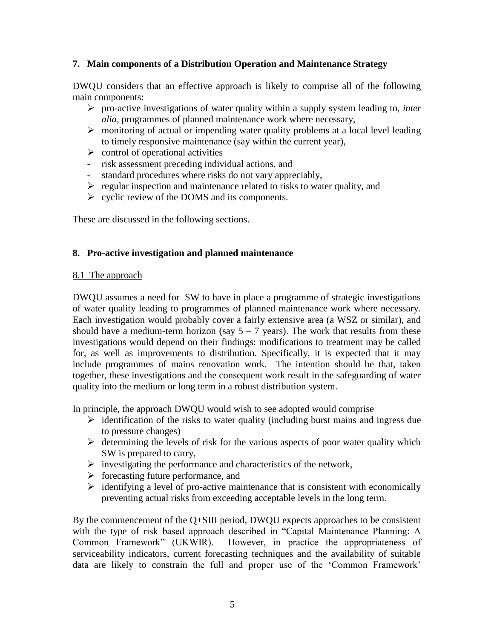### **7. Main components of a Distribution Operation and Maintenance Strategy**

DWQU considers that an effective approach is likely to comprise all of the following main components:

- pro-active investigations of water quality within a supply system leading to, *inter alia*, programmes of planned maintenance work where necessary,
- $\triangleright$  monitoring of actual or impending water quality problems at a local level leading to timely responsive maintenance (say within the current year),
- $\triangleright$  control of operational activities
- risk assessment preceding individual actions, and
- standard procedures where risks do not vary appreciably,
- $\triangleright$  regular inspection and maintenance related to risks to water quality, and
- $\triangleright$  cyclic review of the DOMS and its components.

These are discussed in the following sections.

#### **8. Pro-active investigation and planned maintenance**

#### 8.1 The approach

DWQU assumes a need for SW to have in place a programme of strategic investigations of water quality leading to programmes of planned maintenance work where necessary. Each investigation would probably cover a fairly extensive area (a WSZ or similar), and should have a medium-term horizon (say  $5 - 7$  years). The work that results from these investigations would depend on their findings: modifications to treatment may be called for, as well as improvements to distribution. Specifically, it is expected that it may include programmes of mains renovation work. The intention should be that, taken together, these investigations and the consequent work result in the safeguarding of water quality into the medium or long term in a robust distribution system.

In principle, the approach DWQU would wish to see adopted would comprise

- $\triangleright$  identification of the risks to water quality (including burst mains and ingress due to pressure changes)
- $\triangleright$  determining the levels of risk for the various aspects of poor water quality which SW is prepared to carry,
- $\triangleright$  investigating the performance and characteristics of the network,
- $\triangleright$  forecasting future performance, and
- $\triangleright$  identifying a level of pro-active maintenance that is consistent with economically preventing actual risks from exceeding acceptable levels in the long term.

By the commencement of the Q+SIII period, DWQU expects approaches to be consistent with the type of risk based approach described in "Capital Maintenance Planning: A Common Framework" (UKWIR). However, in practice the appropriateness of serviceability indicators, current forecasting techniques and the availability of suitable data are likely to constrain the full and proper use of the 'Common Framework'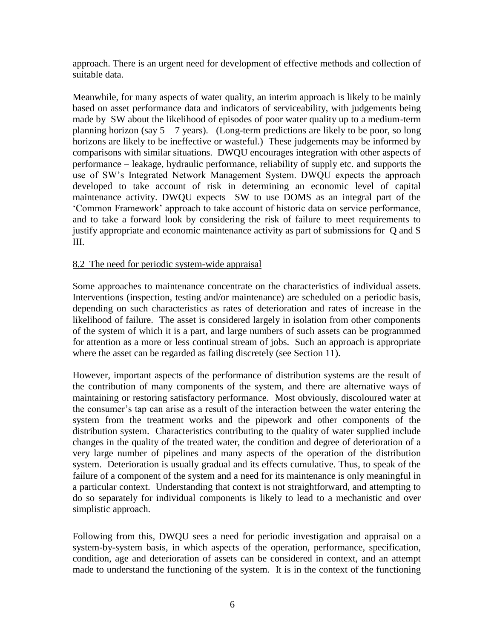approach. There is an urgent need for development of effective methods and collection of suitable data.

Meanwhile, for many aspects of water quality, an interim approach is likely to be mainly based on asset performance data and indicators of serviceability, with judgements being made by SW about the likelihood of episodes of poor water quality up to a medium-term planning horizon (say  $5 - 7$  years). (Long-term predictions are likely to be poor, so long horizons are likely to be ineffective or wasteful.) These judgements may be informed by comparisons with similar situations. DWQU encourages integration with other aspects of performance – leakage, hydraulic performance, reliability of supply etc. and supports the use of SW's Integrated Network Management System. DWQU expects the approach developed to take account of risk in determining an economic level of capital maintenance activity. DWQU expects SW to use DOMS as an integral part of the 'Common Framework' approach to take account of historic data on service performance, and to take a forward look by considering the risk of failure to meet requirements to justify appropriate and economic maintenance activity as part of submissions for Q and S III.

#### 8.2 The need for periodic system-wide appraisal

Some approaches to maintenance concentrate on the characteristics of individual assets. Interventions (inspection, testing and/or maintenance) are scheduled on a periodic basis, depending on such characteristics as rates of deterioration and rates of increase in the likelihood of failure. The asset is considered largely in isolation from other components of the system of which it is a part, and large numbers of such assets can be programmed for attention as a more or less continual stream of jobs. Such an approach is appropriate where the asset can be regarded as failing discretely (see Section 11).

However, important aspects of the performance of distribution systems are the result of the contribution of many components of the system, and there are alternative ways of maintaining or restoring satisfactory performance. Most obviously, discoloured water at the consumer's tap can arise as a result of the interaction between the water entering the system from the treatment works and the pipework and other components of the distribution system. Characteristics contributing to the quality of water supplied include changes in the quality of the treated water, the condition and degree of deterioration of a very large number of pipelines and many aspects of the operation of the distribution system. Deterioration is usually gradual and its effects cumulative. Thus, to speak of the failure of a component of the system and a need for its maintenance is only meaningful in a particular context. Understanding that context is not straightforward, and attempting to do so separately for individual components is likely to lead to a mechanistic and over simplistic approach.

Following from this, DWQU sees a need for periodic investigation and appraisal on a system-by-system basis, in which aspects of the operation, performance, specification, condition, age and deterioration of assets can be considered in context, and an attempt made to understand the functioning of the system. It is in the context of the functioning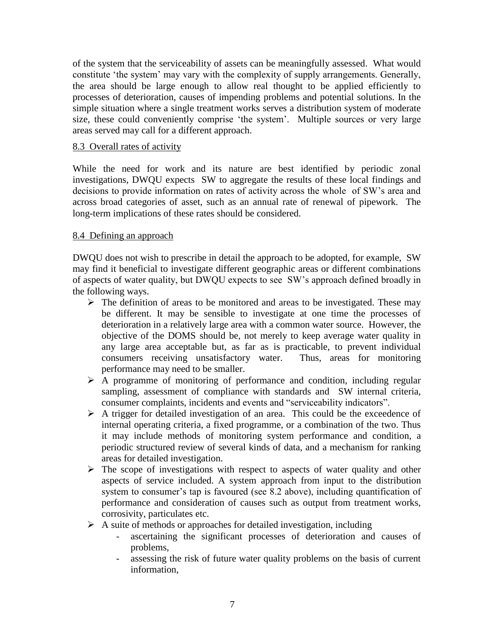of the system that the serviceability of assets can be meaningfully assessed. What would constitute 'the system' may vary with the complexity of supply arrangements. Generally, the area should be large enough to allow real thought to be applied efficiently to processes of deterioration, causes of impending problems and potential solutions. In the simple situation where a single treatment works serves a distribution system of moderate size, these could conveniently comprise 'the system'. Multiple sources or very large areas served may call for a different approach.

#### 8.3 Overall rates of activity

While the need for work and its nature are best identified by periodic zonal investigations, DWQU expects SW to aggregate the results of these local findings and decisions to provide information on rates of activity across the whole of SW's area and across broad categories of asset, such as an annual rate of renewal of pipework. The long-term implications of these rates should be considered.

# 8.4 Defining an approach

DWQU does not wish to prescribe in detail the approach to be adopted, for example, SW may find it beneficial to investigate different geographic areas or different combinations of aspects of water quality, but DWQU expects to see SW's approach defined broadly in the following ways.

- $\triangleright$  The definition of areas to be monitored and areas to be investigated. These may be different. It may be sensible to investigate at one time the processes of deterioration in a relatively large area with a common water source. However, the objective of the DOMS should be, not merely to keep average water quality in any large area acceptable but, as far as is practicable, to prevent individual consumers receiving unsatisfactory water. Thus, areas for monitoring performance may need to be smaller.
- $\triangleright$  A programme of monitoring of performance and condition, including regular sampling, assessment of compliance with standards and SW internal criteria, consumer complaints, incidents and events and "serviceability indicators".
- $\triangleright$  A trigger for detailed investigation of an area. This could be the exceedence of internal operating criteria, a fixed programme, or a combination of the two. Thus it may include methods of monitoring system performance and condition, a periodic structured review of several kinds of data, and a mechanism for ranking areas for detailed investigation.
- $\triangleright$  The scope of investigations with respect to aspects of water quality and other aspects of service included. A system approach from input to the distribution system to consumer's tap is favoured (see 8.2 above), including quantification of performance and consideration of causes such as output from treatment works, corrosivity, particulates etc.
- $\triangleright$  A suite of methods or approaches for detailed investigation, including
	- ascertaining the significant processes of deterioration and causes of problems,
	- assessing the risk of future water quality problems on the basis of current information,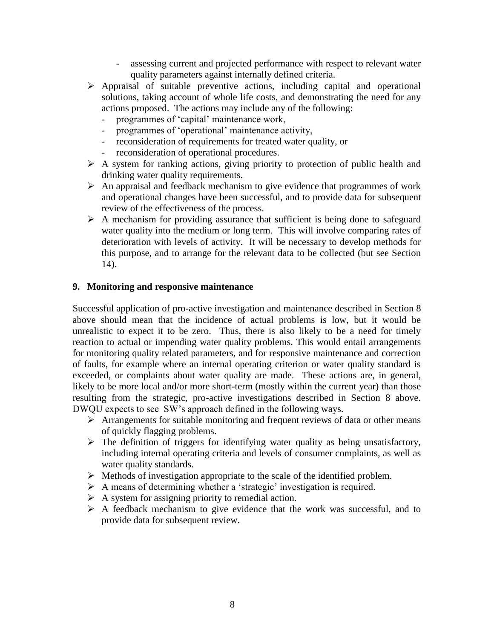- assessing current and projected performance with respect to relevant water quality parameters against internally defined criteria.
- $\triangleright$  Appraisal of suitable preventive actions, including capital and operational solutions, taking account of whole life costs, and demonstrating the need for any actions proposed. The actions may include any of the following:
	- programmes of 'capital' maintenance work,
	- programmes of 'operational' maintenance activity,
	- reconsideration of requirements for treated water quality, or
	- reconsideration of operational procedures.
- $\triangleright$  A system for ranking actions, giving priority to protection of public health and drinking water quality requirements.
- $\triangleright$  An appraisal and feedback mechanism to give evidence that programmes of work and operational changes have been successful, and to provide data for subsequent review of the effectiveness of the process.
- $\triangleright$  A mechanism for providing assurance that sufficient is being done to safeguard water quality into the medium or long term. This will involve comparing rates of deterioration with levels of activity. It will be necessary to develop methods for this purpose, and to arrange for the relevant data to be collected (but see Section 14).

#### **9. Monitoring and responsive maintenance**

Successful application of pro-active investigation and maintenance described in Section 8 above should mean that the incidence of actual problems is low, but it would be unrealistic to expect it to be zero. Thus, there is also likely to be a need for timely reaction to actual or impending water quality problems. This would entail arrangements for monitoring quality related parameters, and for responsive maintenance and correction of faults, for example where an internal operating criterion or water quality standard is exceeded, or complaints about water quality are made. These actions are, in general, likely to be more local and/or more short-term (mostly within the current year) than those resulting from the strategic, pro-active investigations described in Section 8 above. DWQU expects to see SW's approach defined in the following ways.

- $\triangleright$  Arrangements for suitable monitoring and frequent reviews of data or other means of quickly flagging problems.
- $\triangleright$  The definition of triggers for identifying water quality as being unsatisfactory, including internal operating criteria and levels of consumer complaints, as well as water quality standards.
- $\triangleright$  Methods of investigation appropriate to the scale of the identified problem.
- A means of determining whether a 'strategic' investigation is required.
- $\triangleright$  A system for assigning priority to remedial action.
- $\triangleright$  A feedback mechanism to give evidence that the work was successful, and to provide data for subsequent review.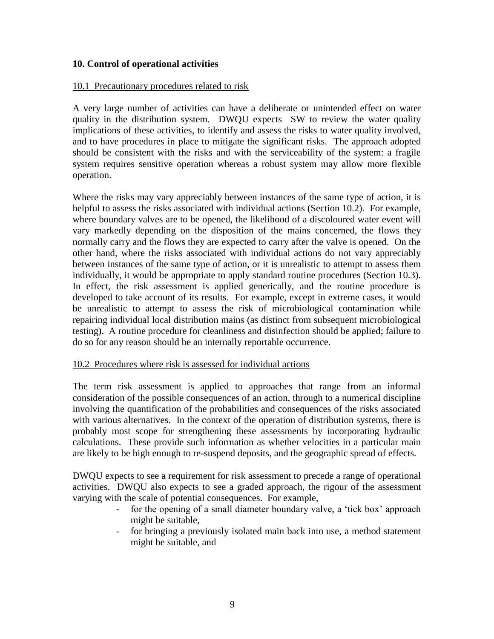#### **10. Control of operational activities**

#### 10.1 Precautionary procedures related to risk

A very large number of activities can have a deliberate or unintended effect on water quality in the distribution system. DWQU expects SW to review the water quality implications of these activities, to identify and assess the risks to water quality involved, and to have procedures in place to mitigate the significant risks. The approach adopted should be consistent with the risks and with the serviceability of the system: a fragile system requires sensitive operation whereas a robust system may allow more flexible operation.

Where the risks may vary appreciably between instances of the same type of action, it is helpful to assess the risks associated with individual actions (Section 10.2). For example, where boundary valves are to be opened, the likelihood of a discoloured water event will vary markedly depending on the disposition of the mains concerned, the flows they normally carry and the flows they are expected to carry after the valve is opened. On the other hand, where the risks associated with individual actions do not vary appreciably between instances of the same type of action, or it is unrealistic to attempt to assess them individually, it would be appropriate to apply standard routine procedures (Section 10.3). In effect, the risk assessment is applied generically, and the routine procedure is developed to take account of its results. For example, except in extreme cases, it would be unrealistic to attempt to assess the risk of microbiological contamination while repairing individual local distribution mains (as distinct from subsequent microbiological testing). A routine procedure for cleanliness and disinfection should be applied; failure to do so for any reason should be an internally reportable occurrence.

#### 10.2 Procedures where risk is assessed for individual actions

The term risk assessment is applied to approaches that range from an informal consideration of the possible consequences of an action, through to a numerical discipline involving the quantification of the probabilities and consequences of the risks associated with various alternatives. In the context of the operation of distribution systems, there is probably most scope for strengthening these assessments by incorporating hydraulic calculations. These provide such information as whether velocities in a particular main are likely to be high enough to re-suspend deposits, and the geographic spread of effects.

DWQU expects to see a requirement for risk assessment to precede a range of operational activities. DWQU also expects to see a graded approach, the rigour of the assessment varying with the scale of potential consequences. For example,

- for the opening of a small diameter boundary valve, a 'tick box' approach might be suitable,
- for bringing a previously isolated main back into use, a method statement might be suitable, and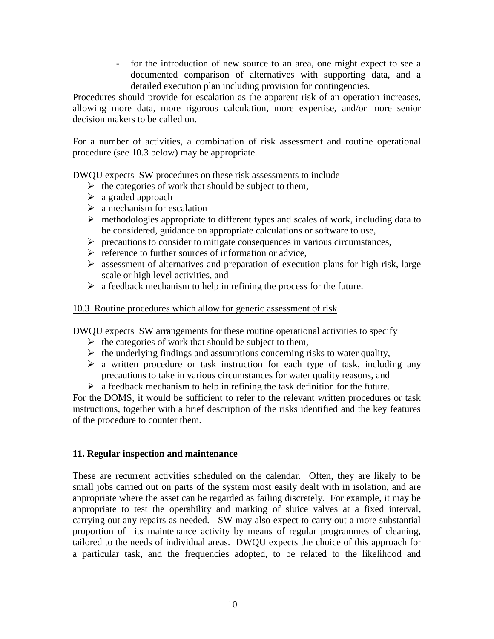- for the introduction of new source to an area, one might expect to see a documented comparison of alternatives with supporting data, and a detailed execution plan including provision for contingencies.

Procedures should provide for escalation as the apparent risk of an operation increases, allowing more data, more rigorous calculation, more expertise, and/or more senior decision makers to be called on.

For a number of activities, a combination of risk assessment and routine operational procedure (see 10.3 below) may be appropriate.

DWQU expects SW procedures on these risk assessments to include

- $\triangleright$  the categories of work that should be subject to them,
- $\triangleright$  a graded approach
- $\triangleright$  a mechanism for escalation
- $\triangleright$  methodologies appropriate to different types and scales of work, including data to be considered, guidance on appropriate calculations or software to use,
- $\triangleright$  precautions to consider to mitigate consequences in various circumstances,
- $\triangleright$  reference to further sources of information or advice,
- $\triangleright$  assessment of alternatives and preparation of execution plans for high risk, large scale or high level activities, and
- $\triangleright$  a feedback mechanism to help in refining the process for the future.

#### 10.3 Routine procedures which allow for generic assessment of risk

DWQU expects SW arrangements for these routine operational activities to specify

- $\triangleright$  the categories of work that should be subject to them,
- $\triangleright$  the underlying findings and assumptions concerning risks to water quality,
- $\triangleright$  a written procedure or task instruction for each type of task, including any precautions to take in various circumstances for water quality reasons, and
- $\triangleright$  a feedback mechanism to help in refining the task definition for the future.

For the DOMS, it would be sufficient to refer to the relevant written procedures or task instructions, together with a brief description of the risks identified and the key features of the procedure to counter them.

#### **11. Regular inspection and maintenance**

These are recurrent activities scheduled on the calendar. Often, they are likely to be small jobs carried out on parts of the system most easily dealt with in isolation, and are appropriate where the asset can be regarded as failing discretely. For example, it may be appropriate to test the operability and marking of sluice valves at a fixed interval, carrying out any repairs as needed. SW may also expect to carry out a more substantial proportion of its maintenance activity by means of regular programmes of cleaning, tailored to the needs of individual areas. DWQU expects the choice of this approach for a particular task, and the frequencies adopted, to be related to the likelihood and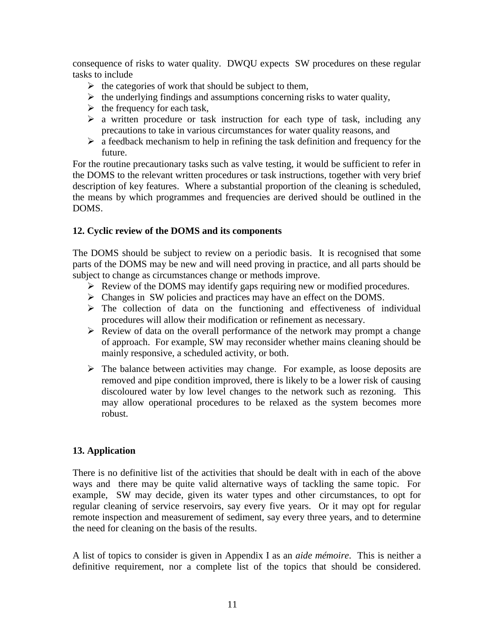consequence of risks to water quality. DWQU expects SW procedures on these regular tasks to include

- $\triangleright$  the categories of work that should be subject to them,
- $\triangleright$  the underlying findings and assumptions concerning risks to water quality,
- $\triangleright$  the frequency for each task,
- $\triangleright$  a written procedure or task instruction for each type of task, including any precautions to take in various circumstances for water quality reasons, and
- $\triangleright$  a feedback mechanism to help in refining the task definition and frequency for the future.

For the routine precautionary tasks such as valve testing, it would be sufficient to refer in the DOMS to the relevant written procedures or task instructions, together with very brief description of key features. Where a substantial proportion of the cleaning is scheduled, the means by which programmes and frequencies are derived should be outlined in the DOMS.

#### **12. Cyclic review of the DOMS and its components**

The DOMS should be subject to review on a periodic basis. It is recognised that some parts of the DOMS may be new and will need proving in practice, and all parts should be subject to change as circumstances change or methods improve.

- $\triangleright$  Review of the DOMS may identify gaps requiring new or modified procedures.
- $\triangleright$  Changes in SW policies and practices may have an effect on the DOMS.
- $\triangleright$  The collection of data on the functioning and effectiveness of individual procedures will allow their modification or refinement as necessary.
- $\triangleright$  Review of data on the overall performance of the network may prompt a change of approach. For example, SW may reconsider whether mains cleaning should be mainly responsive, a scheduled activity, or both.
- $\triangleright$  The balance between activities may change. For example, as loose deposits are removed and pipe condition improved, there is likely to be a lower risk of causing discoloured water by low level changes to the network such as rezoning. This may allow operational procedures to be relaxed as the system becomes more robust.

# **13. Application**

There is no definitive list of the activities that should be dealt with in each of the above ways and there may be quite valid alternative ways of tackling the same topic. For example, SW may decide, given its water types and other circumstances, to opt for regular cleaning of service reservoirs, say every five years. Or it may opt for regular remote inspection and measurement of sediment, say every three years, and to determine the need for cleaning on the basis of the results.

A list of topics to consider is given in Appendix I as an *aide mémoire*. This is neither a definitive requirement, nor a complete list of the topics that should be considered.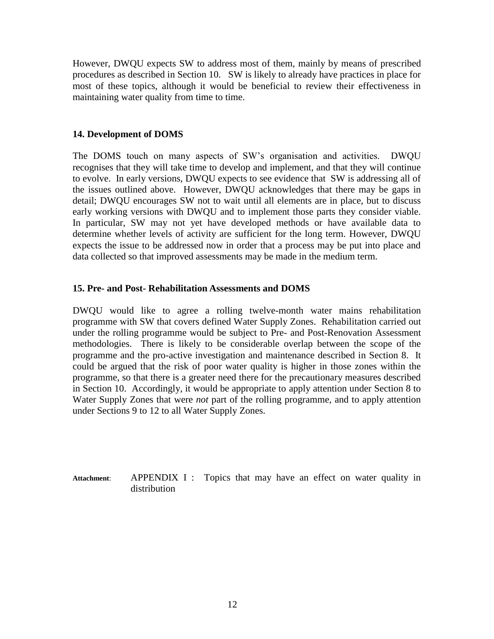However, DWQU expects SW to address most of them, mainly by means of prescribed procedures as described in Section 10. SW is likely to already have practices in place for most of these topics, although it would be beneficial to review their effectiveness in maintaining water quality from time to time.

#### **14. Development of DOMS**

The DOMS touch on many aspects of SW's organisation and activities. DWQU recognises that they will take time to develop and implement, and that they will continue to evolve. In early versions, DWQU expects to see evidence that SW is addressing all of the issues outlined above. However, DWQU acknowledges that there may be gaps in detail; DWQU encourages SW not to wait until all elements are in place, but to discuss early working versions with DWQU and to implement those parts they consider viable. In particular, SW may not yet have developed methods or have available data to determine whether levels of activity are sufficient for the long term. However, DWQU expects the issue to be addressed now in order that a process may be put into place and data collected so that improved assessments may be made in the medium term.

#### **15. Pre- and Post- Rehabilitation Assessments and DOMS**

DWQU would like to agree a rolling twelve-month water mains rehabilitation programme with SW that covers defined Water Supply Zones. Rehabilitation carried out under the rolling programme would be subject to Pre- and Post-Renovation Assessment methodologies. There is likely to be considerable overlap between the scope of the programme and the pro-active investigation and maintenance described in Section 8. It could be argued that the risk of poor water quality is higher in those zones within the programme, so that there is a greater need there for the precautionary measures described in Section 10. Accordingly, it would be appropriate to apply attention under Section 8 to Water Supply Zones that were *not* part of the rolling programme, and to apply attention under Sections 9 to 12 to all Water Supply Zones.

Attachment: APPENDIX I : Topics that may have an effect on water quality in distribution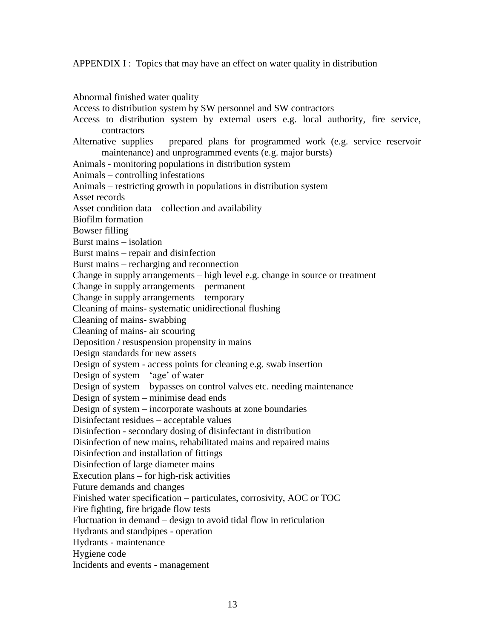APPENDIX I : Topics that may have an effect on water quality in distribution

Abnormal finished water quality Access to distribution system by SW personnel and SW contractors Access to distribution system by external users e.g. local authority, fire service, contractors Alternative supplies – prepared plans for programmed work (e.g. service reservoir maintenance) and unprogrammed events (e.g. major bursts) Animals - monitoring populations in distribution system Animals – controlling infestations Animals – restricting growth in populations in distribution system Asset records Asset condition data – collection and availability Biofilm formation Bowser filling Burst mains – isolation Burst mains – repair and disinfection Burst mains – recharging and reconnection Change in supply arrangements – high level e.g. change in source or treatment Change in supply arrangements – permanent Change in supply arrangements – temporary Cleaning of mains- systematic unidirectional flushing Cleaning of mains- swabbing Cleaning of mains- air scouring Deposition / resuspension propensity in mains Design standards for new assets Design of system - access points for cleaning e.g. swab insertion Design of system – 'age' of water Design of system – bypasses on control valves etc. needing maintenance Design of system – minimise dead ends Design of system – incorporate washouts at zone boundaries Disinfectant residues – acceptable values Disinfection - secondary dosing of disinfectant in distribution Disinfection of new mains, rehabilitated mains and repaired mains Disinfection and installation of fittings Disinfection of large diameter mains Execution plans – for high-risk activities Future demands and changes Finished water specification – particulates, corrosivity, AOC or TOC Fire fighting, fire brigade flow tests Fluctuation in demand – design to avoid tidal flow in reticulation Hydrants and standpipes - operation Hydrants - maintenance Hygiene code Incidents and events - management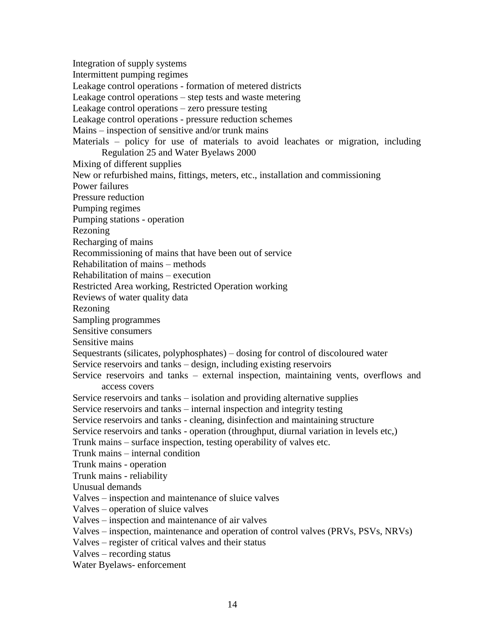Integration of supply systems Intermittent pumping regimes Leakage control operations - formation of metered districts Leakage control operations – step tests and waste metering Leakage control operations – zero pressure testing Leakage control operations - pressure reduction schemes Mains – inspection of sensitive and/or trunk mains Materials – policy for use of materials to avoid leachates or migration, including Regulation 25 and Water Byelaws 2000 Mixing of different supplies New or refurbished mains, fittings, meters, etc., installation and commissioning Power failures Pressure reduction Pumping regimes Pumping stations - operation Rezoning Recharging of mains Recommissioning of mains that have been out of service Rehabilitation of mains – methods Rehabilitation of mains – execution Restricted Area working, Restricted Operation working Reviews of water quality data Rezoning Sampling programmes Sensitive consumers Sensitive mains Sequestrants (silicates, polyphosphates) – dosing for control of discoloured water Service reservoirs and tanks – design, including existing reservoirs Service reservoirs and tanks – external inspection, maintaining vents, overflows and access covers Service reservoirs and tanks – isolation and providing alternative supplies Service reservoirs and tanks – internal inspection and integrity testing Service reservoirs and tanks - cleaning, disinfection and maintaining structure Service reservoirs and tanks - operation (throughput, diurnal variation in levels etc.) Trunk mains – surface inspection, testing operability of valves etc. Trunk mains – internal condition Trunk mains - operation Trunk mains - reliability Unusual demands Valves – inspection and maintenance of sluice valves Valves – operation of sluice valves Valves – inspection and maintenance of air valves Valves – inspection, maintenance and operation of control valves (PRVs, PSVs, NRVs) Valves – register of critical valves and their status Valves – recording status Water Byelaws- enforcement